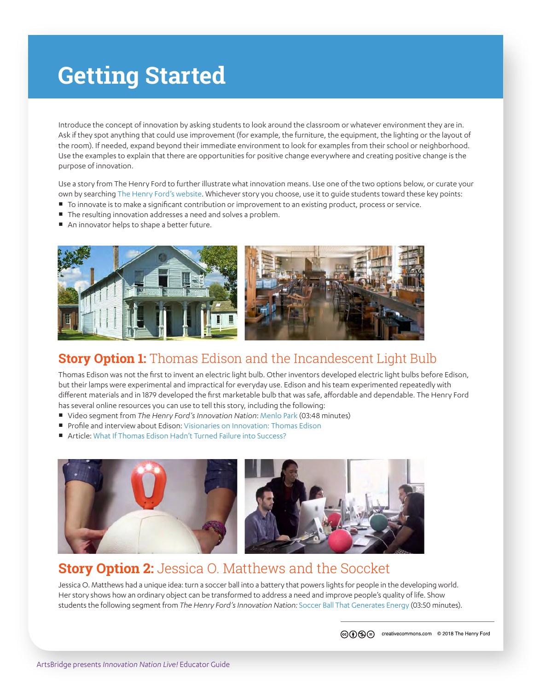# **Getting Started**

Introduce the concept of innovation by asking students to look around the classroom or whatever environment they are in. Ask if they spot anything that could use improvement (for example, the furniture, the equipment, the lighting or the layout of the room). If needed, expand beyond their immediate environment to look for examples from their school or neighborhood. Use the examples to explain that there are opportunities for positive change everywhere and creating positive change is the purpose of innovation.

Use a story from The Henry Ford to further illustrate what innovation means. Use one of the two options below, or curate your own by searching [The Henry Ford's website](https://www.thehenryford.org). Whichever story you choose, use it to guide students toward these key points:

- ¡ To innovate is to make a significant contribution or improvement to an existing product, process or service.
- **The resulting innovation addresses a need and solves a problem.**
- An innovator helps to shape a better future.



### **Story Option 1:** Thomas Edison and the Incandescent Light Bulb

Thomas Edison was not the first to invent an electric light bulb. Other inventors developed electric light bulbs before Edison, but their lamps were experimental and impractical for everyday use. Edison and his team experimented repeatedly with different materials and in 1879 developed the first marketable bulb that was safe, affordable and dependable. The Henry Ford has several online resources you can use to tell this story, including the following:

- ¡ Video segment from *The Henry Ford's Innovation Nation*: [Menlo Park](https://www.youtube.com/watch?v=pJwAL_6KNLE) (03:48 minutes)
- Profile and interview about Edison: [Visionaries on Innovation: Thomas Edison](https://www.thehenryford.org/explore/stories-of-innovation/visionaries/thomas-edison/)
- Article: [What If Thomas Edison Hadn't Turned Failure into Success?](https://www.thehenryford.org/explore/stories-of-innovation/what-if/what-if-thomas-edison)



### **Story Option 2:** Jessica O. Matthews and the Soccket

Jessica O. Matthews had a unique idea: turn a soccer ball into a battery that powers lights for people in the developing world. Her story shows how an ordinary object can be transformed to address a need and improve people's quality of life. Show students the following segment from *The Henry Ford's Innovation Nation:* [Soccer Ball That Generates Energy \(](https://www.youtube.com/watch?v=0gifXci-FUk)03:50 minutes).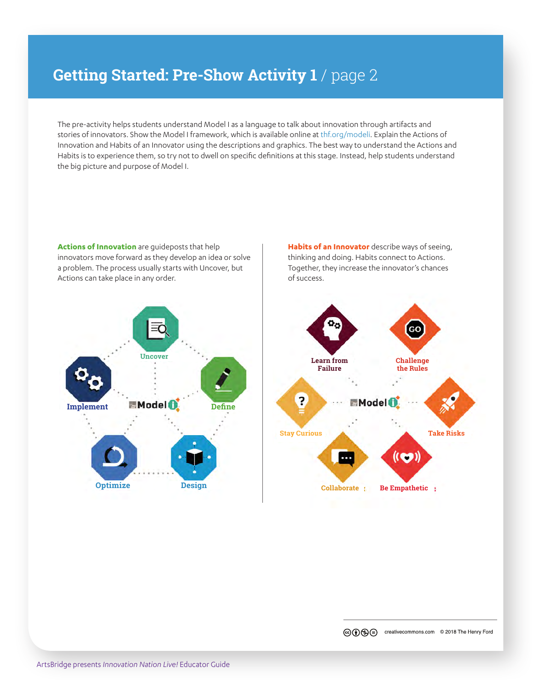## **Getting Started: Pre-Show Activity 1** / page 2

The pre-activity helps students understand Model I as a language to talk about innovation through artifacts and stories of innovators. Show the Model I framework, which is available online at [thf.org/modeli.](https://www.thehenryford.org/education/teaching-innovation/modeli/) Explain the Actions of Innovation and Habits of an Innovator using the descriptions and graphics. The best way to understand the Actions and Habits is to experience them, so try not to dwell on specific definitions at this stage. Instead, help students understand the big picture and purpose of Model I.

**Actions of Innovation** are guideposts that help innovators move forward as they develop an idea or solve a problem. The process usually starts with Uncover, but Actions can take place in any order.



**Habits of an Innovator** describe ways of seeing, thinking and doing. Habits connect to Actions. Together, they increase the innovator's chances of success.